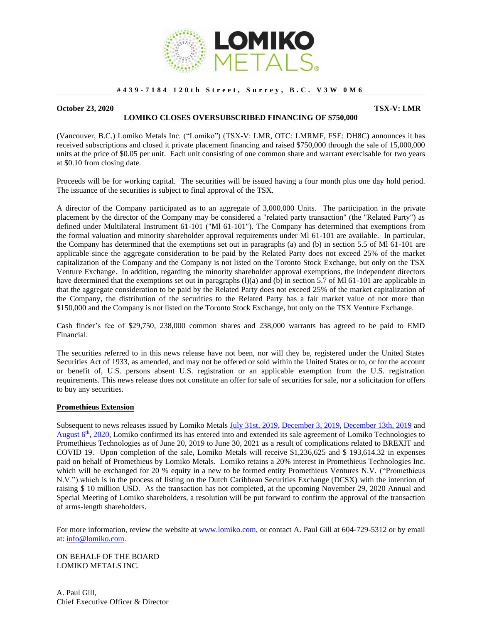

## **# 4 3 9 - 7 1 8 4 1 2 0 t h S t r e e t , S u r r e y , B . C . V 3 W 0 M 6**

## **October 23, 2020** TSX-V: LMR

## **LOMIKO CLOSES OVERSUBSCRIBED FINANCING OF \$750,000**

(Vancouver, B.C.) Lomiko Metals Inc. ("Lomiko") (TSX-V: LMR, OTC: LMRMF, FSE: DH8C) announces it has received subscriptions and closed it private placement financing and raised \$750,000 through the sale of 15,000,000 units at the price of \$0.05 per unit. Each unit consisting of one common share and warrant exercisable for two years at \$0.10 from closing date.

Proceeds will be for working capital. The securities will be issued having a four month plus one day hold period. The issuance of the securities is subject to final approval of the TSX.

A director of the Company participated as to an aggregate of 3,000,000 Units. The participation in the private placement by the director of the Company may be considered a "related party transaction" (the "Related Party") as defined under Multilateral Instrument 61-101 ("Ml 61-101"). The Company has determined that exemptions from the formal valuation and minority shareholder approval requirements under Ml 61-101 are available. In particular, the Company has determined that the exemptions set out in paragraphs (a) and (b) in section 5.5 of Ml 61-101 are applicable since the aggregate consideration to be paid by the Related Party does not exceed 25% of the market capitalization of the Company and the Company is not listed on the Toronto Stock Exchange, but only on the TSX Venture Exchange. In addition, regarding the minority shareholder approval exemptions, the independent directors have determined that the exemptions set out in paragraphs (1)(a) and (b) in section 5.7 of Ml 61-101 are applicable in that the aggregate consideration to be paid by the Related Party does not exceed 25% of the market capitalization of the Company, the distribution of the securities to the Related Party has a fair market value of not more than \$150,000 and the Company is not listed on the Toronto Stock Exchange, but only on the TSX Venture Exchange.

Cash finder's fee of \$29,750, 238,000 common shares and 238,000 warrants has agreed to be paid to EMD Financial.

The securities referred to in this news release have not been, nor will they be, registered under the United States Securities Act of 1933, as amended, and may not be offered or sold within the United States or to, or for the account or benefit of, U.S. persons absent U.S. registration or an applicable exemption from the U.S. registration requirements. This news release does not constitute an offer for sale of securities for sale, nor a solicitation for offers to buy any securities.

## **Promethieus Extension**

Subsequent to news releases issued by Lomiko Metals July [31st, 2019,](https://www.lomiko.com/wp-content/uploads/2019/07/LMR-NR-Promethius-News-July-31-2019-final.pdf) [December 3, 2019,](https://www.lomiko.com/wp-content/uploads/2019/12/LMR-NR-AGM-2019-Results-12-02-2019-Final-PG.pdf) [December 13th, 2019](https://www.lomiko.com/wp-content/uploads/2019/12/LMR-NR-Promethius-News-December-13-2019-final.pdf) and August  $6<sup>th</sup>$ , 2020, Lomiko confirmed its has entered into and extended its sale agreement of Lomiko Technologies to Promethieus Technologies as of June 20, 2019 to June 30, 2021 as a result of complications related to BREXIT and COVID 19. Upon completion of the sale, Lomiko Metals will receive \$1,236,625 and \$ 193,614.32 in expenses paid on behalf of Promethieus by Lomiko Metals. Lomiko retains a 20% interest in Promethieus Technologies Inc. which will be exchanged for 20 % equity in a new to be formed entity Promethieus Ventures N.V. ("Promethieus N.V.").which is in the process of listing on the Dutch Caribbean Securities Exchange (DCSX) with the intention of raising \$ 10 million USD. As the transaction has not completed, at the upcoming November 29, 2020 Annual and Special Meeting of Lomiko shareholders, a resolution will be put forward to confirm the approval of the transaction of arms-length shareholders.

For more information, review the website at [www.lomiko.com,](http://www.lomiko.com/) or contact A. Paul Gill at 604-729-5312 or by email at: [info@lomiko.com.](mailto:info@lomiko.com)

ON BEHALF OF THE BOARD LOMIKO METALS INC.

A. Paul Gill, Chief Executive Officer & Director